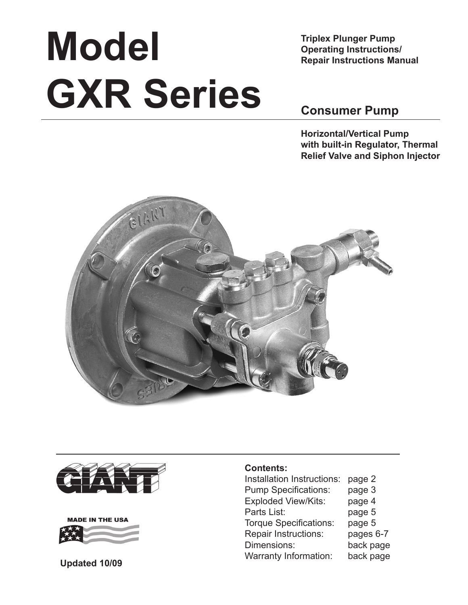# **Model GXR Series**

**Triplex Plunger Pump Operating Instructions/ Repair Instructions Manual**

## **Consumer Pump**

**Horizontal/Vertical Pump with built-in Regulator, Thermal Relief Valve and Siphon Injector**







#### **Contents:**

Installation Instructions: page 2 Pump Specifications: page 3 Exploded View/Kits: page 4 Parts List: page 5 Torque Specifications: page 5 Repair Instructions: pages 6-7 Dimensions: back page Warranty Information: back page **Updated 10/09**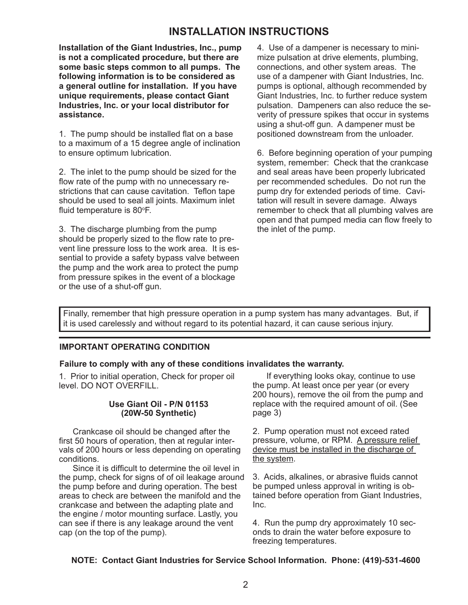## **INSTALLATION INSTRUCTIONS**

**Installation of the Giant Industries, Inc., pump is not a complicated procedure, but there are some basic steps common to all pumps. The following information is to be considered as a general outline for installation. If you have unique requirements, please contact Giant Industries, Inc. or your local distributor for assistance.**

1. The pump should be installed flat on a base to a maximum of a 15 degree angle of inclination to ensure optimum lubrication.

2. The inlet to the pump should be sized for the flow rate of the pump with no unnecessary restrictions that can cause cavitation. Teflon tape should be used to seal all joints. Maximum inlet fluid temperature is 80°F.

3. The discharge plumbing from the pump should be properly sized to the flow rate to prevent line pressure loss to the work area. It is essential to provide a safety bypass valve between the pump and the work area to protect the pump from pressure spikes in the event of a blockage or the use of a shut-off gun.

4. Use of a dampener is necessary to minimize pulsation at drive elements, plumbing, connections, and other system areas. The use of a dampener with Giant Industries, Inc. pumps is optional, although recommended by Giant Industries, Inc. to further reduce system pulsation. Dampeners can also reduce the severity of pressure spikes that occur in systems using a shut-off gun. A dampener must be positioned downstream from the unloader.

6. Before beginning operation of your pumping system, remember: Check that the crankcase and seal areas have been properly lubricated per recommended schedules. Do not run the pump dry for extended periods of time. Cavitation will result in severe damage. Always remember to check that all plumbing valves are open and that pumped media can flow freely to the inlet of the pump.

Finally, remember that high pressure operation in a pump system has many advantages. But, if it is used carelessly and without regard to its potential hazard, it can cause serious injury.

#### **IMPORTANT OPERATING CONDITION**

#### **Failure to comply with any of these conditions invalidates the warranty.**

1. Prior to initial operation, Check for proper oil level. DO NOT OVERFILL.

#### **Use Giant Oil - P/N 01153 (20W-50 Synthetic)**

Crankcase oil should be changed after the first 50 hours of operation, then at regular intervals of 200 hours or less depending on operating conditions.

Since it is difficult to determine the oil level in the pump, check for signs of of oil leakage around the pump before and during operation. The best areas to check are between the manifold and the crankcase and between the adapting plate and the engine / motor mounting surface. Lastly, you can see if there is any leakage around the vent cap (on the top of the pump).

If everything looks okay, continue to use the pump. At least once per year (or every 200 hours), remove the oil from the pump and replace with the required amount of oil. (See page 3)

2. Pump operation must not exceed rated pressure, volume, or RPM. A pressure relief device must be installed in the discharge of the system.

3. Acids, alkalines, or abrasive fluids cannot be pumped unless approval in writing is obtained before operation from Giant Industries, Inc.

4. Run the pump dry approximately 10 seconds to drain the water before exposure to freezing temperatures.

#### **NOTE: Contact Giant Industries for Service School Information. Phone: (419)-531-4600**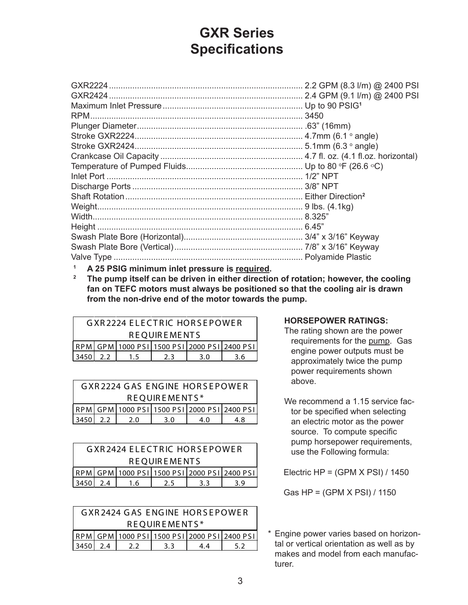# **GXR Series Specifications**

- **<sup>1</sup> A 25 PSIG minimum inlet pressure is required.**
- **2 The pump itself can be driven in either direction of rotation; however, the cooling fan on TEFC motors must always be positioned so that the cooling air is drawn from the non-drive end of the motor towards the pump.**

|                                             | <b>GXR2224 ELECTRIC HORSEPOWER</b> |     |     |     |     |  |  |
|---------------------------------------------|------------------------------------|-----|-----|-----|-----|--|--|
|                                             | <b>REOUIREMENTS</b>                |     |     |     |     |  |  |
| RPM GPM 1000 PSI 1500 PSI 2000 PSI 2400 PSI |                                    |     |     |     |     |  |  |
| $3450l$                                     | $2.2^{\circ}$                      | 1.5 | 2.3 | 3.0 | 3.6 |  |  |

| <b>GXR2224 GAS ENGINE HORSEPOWER</b> |  |  |  |     |                                                       |
|--------------------------------------|--|--|--|-----|-------------------------------------------------------|
| REOUIREMENTS*                        |  |  |  |     |                                                       |
|                                      |  |  |  |     | RPM   GPM   1000 PSI   1500 PSI   2000 PSI   2400 PSI |
| 3450<br>2.2<br>2.0<br>3.0            |  |  |  | 4 O | 4.8                                                   |

| <b>GXR2424 ELECTRIC HORSEPOWER</b>                    |                     |  |  |  |  |
|-------------------------------------------------------|---------------------|--|--|--|--|
|                                                       | <b>REOUIREMENTS</b> |  |  |  |  |
| RPM   GPM   1000 PSI   1500 PSI   2000 PSI   2400 PSI |                     |  |  |  |  |
| $3450$ 2.4<br>3.3<br>2.5<br>3.9<br>1.6                |                     |  |  |  |  |

|                                                       | GXR2424 GAS ENGINE HORSEPOWER |     |    |     |  |  |
|-------------------------------------------------------|-------------------------------|-----|----|-----|--|--|
|                                                       | REOUIREMENTS*                 |     |    |     |  |  |
| RPM   GPM   1000 PSI   1500 PSI   2000 PSI   2400 PSI |                               |     |    |     |  |  |
| $3450$ 2.4<br>$2.2^{\circ}$                           |                               | 3.3 | 44 | 5.2 |  |  |

#### **HORSEPOWER RATINGS:**

- The rating shown are the power requirements for the pump. Gas engine power outputs must be approximately twice the pump power requirements shown above.
- We recommend a 1.15 service factor be specified when selecting an electric motor as the power source. To compute specific pump horsepower requirements, use the Following formula:

Electric HP = (GPM X PSI) / 1450

Gas HP = (GPM X PSI) / 1150

\* Engine power varies based on horizontal or vertical orientation as well as by makes and model from each manufacturer.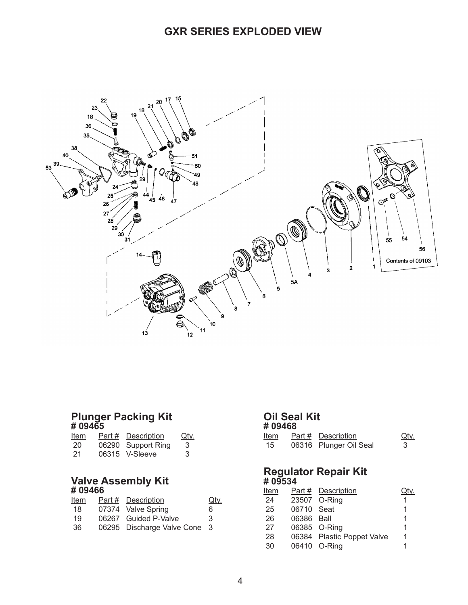## **GXR Series EXPLODED VIEW**



#### **Plunger Packing Kit # 09465**

| Item | Part # | <b>Description</b> | <u>Qty.</u> |
|------|--------|--------------------|-------------|
| 20   |        | 06290 Support Ring | 3           |
| 21   |        | 06315 V-Sleeve     | 3           |

#### **Valve Assembly Kit # 09466**

| Item | Part # Description           | <u>Qty</u> |
|------|------------------------------|------------|
| 18   | 07374 Valve Spring           | 6          |
| 19   | 06267 Guided P-Valve         | 3          |
| -36  | 06295 Discharge Valve Cone 3 |            |
|      |                              |            |

## **Oil Seal Kit**

|      | # 09468 |                        |             |  |  |  |
|------|---------|------------------------|-------------|--|--|--|
| Item |         | Part # Description     | <u>Qty.</u> |  |  |  |
| 15   |         | 06316 Plunger Oil Seal |             |  |  |  |

#### **Regulator Repair Kit # 09534**

| <u>Item</u> |            | Part # Description         |   |
|-------------|------------|----------------------------|---|
| 24          |            | 23507 O-Ring               | 1 |
| 25          | 06710 Seat |                            | 1 |
| 26          | 06386 Ball |                            | 1 |
| 27          |            | 06385 O-Ring               | 1 |
| 28          |            | 06384 Plastic Poppet Valve | 1 |
| 30          |            | 06410 O-Ring               | 1 |
|             |            |                            |   |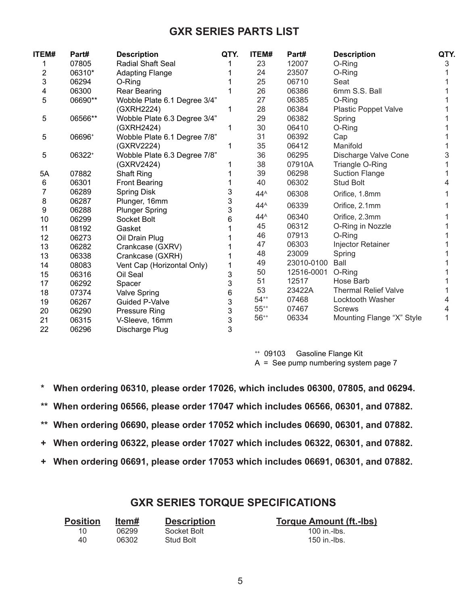## **GXR Series Parts List**

| ITEM# | Part#   | <b>Description</b>           | QTY. | ITEM#           | Part#      | <b>Description</b>          | QTY. |
|-------|---------|------------------------------|------|-----------------|------------|-----------------------------|------|
|       | 07805   | Radial Shaft Seal            |      | 23              | 12007      | O-Ring                      | 3    |
| 2     | 06310*  | <b>Adapting Flange</b>       |      | 24              | 23507      | O-Ring                      |      |
| 3     | 06294   | O-Ring                       |      | 25              | 06710      | Seat                        |      |
| 4     | 06300   | Rear Bearing                 |      | 26              | 06386      | 6mm S.S. Ball               |      |
| 5     | 06690** | Wobble Plate 6.1 Degree 3/4" |      | 27              | 06385      | O-Ring                      |      |
|       |         | (GXRH2224)                   |      | 28              | 06384      | <b>Plastic Poppet Valve</b> |      |
| 5     | 06566** | Wobble Plate 6.3 Degree 3/4" |      | 29              | 06382      | Spring                      |      |
|       |         | (GXRH2424)                   |      | 30              | 06410      | O-Ring                      |      |
| 5     | 06696+  | Wobble Plate 6.1 Degree 7/8" |      | 31              | 06392      | Cap                         |      |
|       |         | (GXRV2224)                   |      | 35              | 06412      | Manifold                    |      |
| 5     | 06322+  | Wobble Plate 6.3 Degree 7/8" |      | 36              | 06295      | Discharge Valve Cone        |      |
|       |         | (GXRV2424)                   |      | 38              | 07910A     | Triangle O-Ring             |      |
| 5A    | 07882   | Shaft Ring                   |      | 39              | 06298      | <b>Suction Flange</b>       |      |
| 6     | 06301   | <b>Front Bearing</b>         |      | 40              | 06302      | <b>Stud Bolt</b>            |      |
| 7     | 06289   | Spring Disk                  | 3    | $44^A$          | 06308      | Orifice, 1.8mm              |      |
| 8     | 06287   | Plunger, 16mm                | 3    | $44^A$          | 06339      | Orifice, 2.1mm              |      |
| 9     | 06288   | <b>Plunger Spring</b>        | 3    |                 |            |                             |      |
| 10    | 06299   | Socket Bolt                  | 6    | $44^{\text{A}}$ | 06340      | Orifice, 2.3mm              |      |
| 11    | 08192   | Gasket                       |      | 45              | 06312      | O-Ring in Nozzle            |      |
| 12    | 06273   | Oil Drain Plug               |      | 46              | 07913      | O-Ring                      |      |
| 13    | 06282   | Crankcase (GXRV)             |      | 47              | 06303      | <b>Injector Retainer</b>    |      |
| 13    | 06338   | Crankcase (GXRH)             |      | 48              | 23009      | Spring                      |      |
| 14    | 08083   | Vent Cap (Horizontal Only)   |      | 49              | 23010-0100 | Ball                        |      |
| 15    | 06316   | Oil Seal                     | 3    | 50              | 12516-0001 | O-Ring                      |      |
| 17    | 06292   | Spacer                       | 3    | 51              | 12517      | Hose Barb                   |      |
| 18    | 07374   | <b>Valve Spring</b>          | 6    | 53              | 23422A     | <b>Thermal Relief Valve</b> |      |
| 19    | 06267   | <b>Guided P-Valve</b>        | 3    | $54^{++}$       | 07468      | Locktooth Washer            | 4    |
| 20    | 06290   | <b>Pressure Ring</b>         | 3    | $55^{++}$       | 07467      | <b>Screws</b>               | 4    |
| 21    | 06315   | V-Sleeve, 16mm               | 3    | $56^{++}$       | 06334      | Mounting Flange "X" Style   |      |
| 22    | 06296   | Discharge Plug               | 3    |                 |            |                             |      |

++ 09103 Gasoline Flange Kit A = See pump numbering system page 7

**\* When ordering 06310, please order 17026, which includes 06300, 07805, and 06294.**

- **\*\* When ordering 06566, please order 17047 which includes 06566, 06301, and 07882.**
- **\*\* When ordering 06690, please order 17052 which includes 06690, 06301, and 07882.**
- **+ When ordering 06322, please order 17027 which includes 06322, 06301, and 07882.**
- **+ When ordering 06691, please order 17053 which includes 06691, 06301, and 07882.**

## **GXR SERIES TORQUE SPECIFICATIONS**

| <b>Position</b> | ltem# | <b>Description</b> | <b>Torque Amount (ft.-lbs)</b> |
|-----------------|-------|--------------------|--------------------------------|
| 10.             | 06299 | Socket Bolt        | 100 in.-lbs.                   |
| 40              | 06302 | <b>Stud Bolt</b>   | 150 in.-lbs.                   |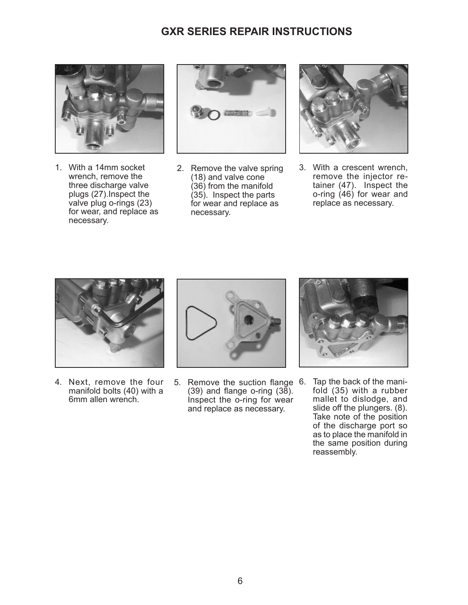## **GXR SERIES REPAIR INSTRUCTIONS**



1. With a 14mm socket wrench, remove the three discharge valve plugs (27).Inspect the valve plug o-rings (23) for wear, and replace as necessary.



2. Remove the valve spring (18) and valve cone (36) from the manifold (35). Inspect the parts for wear and replace as necessary.



3. With a crescent wrench, remove the injector retainer (47). Inspect the o-ring (46) for wear and replace as necessary.



4. Next, remove the four manifold bolts (40) with a 6mm allen wrench.



5. Remove the suction flange 6. Tap the back of the mani- $(39)$  and flange o-ring  $(38)$ . Inspect the o-ring for wear and replace as necessary.



fold (35) with a rubber mallet to dislodge, and slide off the plungers. (8). Take note of the position of the discharge port so as to place the manifold in the same position during reassembly.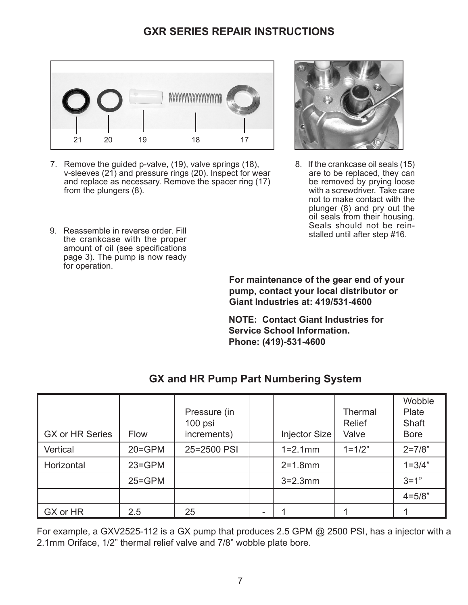## **GXR Series repair instructions**



7. Remove the guided p-valve, (19), valve springs (18), v-sleeves (21) and pressure rings (20). Inspect for wear and replace as necessary. Remove the spacer ring (17) from the plungers (8).



**For maintenance of the gear end of your pump, contact your local distributor or Giant Industries at: 419/531-4600**

8. If the crankcase oil seals (15) are to be replaced, they can be removed by prying loose with a screwdriver. Take care not to make contact with the plunger (8) and pry out the oil seals from their housing. Seals should not be reinstalled until after step #16.

**NOTE: Contact Giant Industries for Service School Information. Phone: (419)-531-4600**

| <b>GX or HR Series</b> | <b>Flow</b> | Pressure (in<br>100 psi<br>increments) |    | Injector Size | <b>Thermal</b><br><b>Relief</b><br>Valve | Wobble<br>Plate<br><b>Shaft</b><br><b>Bore</b> |
|------------------------|-------------|----------------------------------------|----|---------------|------------------------------------------|------------------------------------------------|
| Vertical               | $20 = GPM$  | 25=2500 PSI                            |    | $1 = 2.1$ mm  | $1 = 1/2"$                               | $2 = 7/8"$                                     |
| Horizontal             | $23 = GPM$  |                                        |    | $2 = 1.8$ mm  |                                          | $1 = 3/4"$                                     |
|                        | $25 = GPM$  |                                        |    | $3 = 2.3$ mm  |                                          | $3 = 1"$                                       |
|                        |             |                                        |    |               |                                          | $4 = 5/8"$                                     |
| GX or HR               | 2.5         | 25                                     | ۰. |               |                                          |                                                |

## **GX and HR Pump Part Numbering System**

For example, a GXV2525-112 is a GX pump that produces 2.5 GPM @ 2500 PSI, has a injector with a 2.1mm Oriface, 1/2" thermal relief valve and 7/8" wobble plate bore.

7